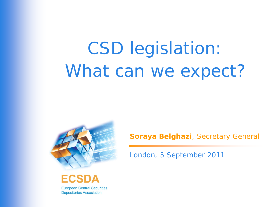# CSD legislation: What can we expect?





**Depositories Association** 

**Soraya Belghazi**, Secretary General

London, 5 September 2011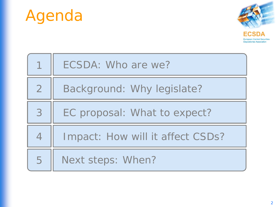



|                | ECSDA: Who are we?               |
|----------------|----------------------------------|
| $\overline{2}$ | Background: Why legislate?       |
| 3              | EC proposal: What to expect?     |
| $\overline{4}$ | Impact: How will it affect CSDs? |
| 5              | Next steps: When?                |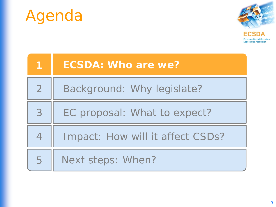



| 1              | <b>ECSDA: Who are we?</b>        |
|----------------|----------------------------------|
| $\overline{2}$ | Background: Why legislate?       |
| 3              | EC proposal: What to expect?     |
| $\overline{4}$ | Impact: How will it affect CSDs? |
| 5              | Next steps: When?                |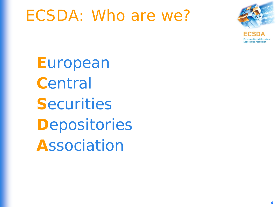## ECSDA: Who are we?



Depositories Association

**E**uropean **C**entral **S**ecurities **D**epositories **A**ssociation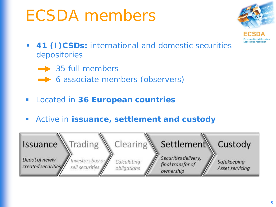## ECSDA members



- **41 (I)CSDs:** international and domestic securities depositories
	- $\rightarrow$  35 full members
	- **► 6 associate members (observers)**
- Located in **36 European countries**
- Active in **issuance, settlement and custody**

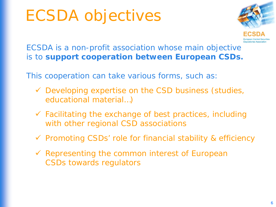# ECSDA objectives



ECSDA is a non-profit association whose main objective is to **support cooperation between European CSDs.** 

This cooperation can take various forms, such as:

- $\checkmark$  Developing expertise on the CSD business (studies, educational material…)
- $\checkmark$  Facilitating the exchange of best practices, including with other regional CSD associations
- $\checkmark$  Promoting CSDs' role for financial stability & efficiency
- $\checkmark$  Representing the common interest of European CSDs towards regulators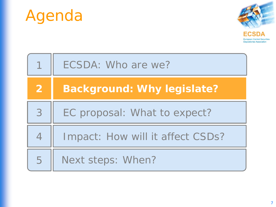



|                | ECSDA: Who are we?                |
|----------------|-----------------------------------|
| $\overline{2}$ | <b>Background: Why legislate?</b> |
| 3              | EC proposal: What to expect?      |
| $\overline{4}$ | Impact: How will it affect CSDs?  |
| 5              | Next steps: When?                 |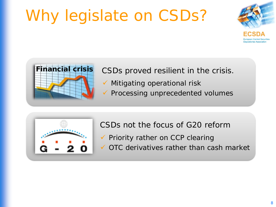# Why legislate on CSDs?





**Financial crisis** CSDs proved resilient in the crisis.

- $\checkmark$  Mitigating operational risk
- $\checkmark$  Processing unprecedented volumes



CSDs not the focus of G20 reform

- $\checkmark$  Priority rather on CCP clearing
- OTC derivatives rather than cash market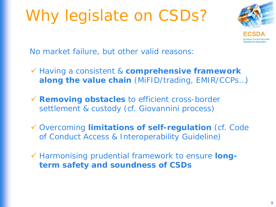## Why legislate on CSDs?



No market failure, but other valid reasons:

- Having a consistent & **comprehensive framework along the value chain** (MiFID/trading, EMIR/CCPs…)
- **Removing obstacles** to efficient cross-border settlement & custody (cf. Giovannini process)
- Overcoming **limitations of self-regulation** (cf. Code of Conduct Access & Interoperability Guideline)
- Harmonising prudential framework to ensure **longterm safety and soundness of CSDs**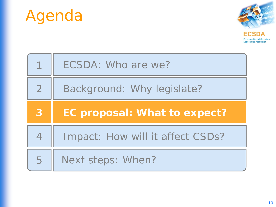



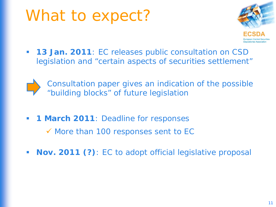### What to expect?



**13 Jan. 2011**: EC releases public consultation on CSD legislation and "certain aspects of securities settlement"



*Consultation paper gives an indication of the possible "building blocks" of future legislation*

**1 March 2011**: Deadline for responses

 $\checkmark$  More than 100 responses sent to EC

**Nov. 2011 (?)**: EC to adopt official legislative proposal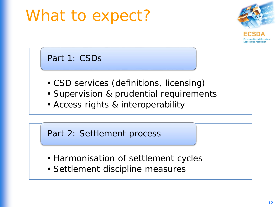## What to expect?



Part 1: CSDs

- CSD services (definitions, licensing)
- Supervision & prudential requirements
- Access rights & interoperability

Part 2: Settlement process

- Harmonisation of settlement cycles
- Settlement discipline measures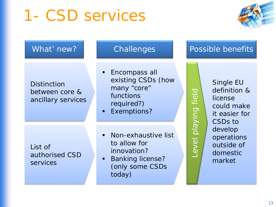## 1- CSD services



| What' new?                                                 | Challenges                                                                                                 | Possible benefits                                                                          |
|------------------------------------------------------------|------------------------------------------------------------------------------------------------------------|--------------------------------------------------------------------------------------------|
| <b>Distinction</b><br>between core &<br>ancillary services | • Encompass all<br>existing CSDs (how<br>many "core"<br>functions<br>required?)<br>Exemptions?             | Single EU<br>definition &<br>license<br>could make<br>it easier for<br>CSD <sub>s</sub> to |
| List of<br>authorised CSD<br>services                      | Non-exhaustive list<br>to allow for<br>innovation?<br><b>Banking license?</b><br>(only some CSDs<br>today) | evel playing field<br>develop<br>operations<br>outside of<br>domestic<br>market            |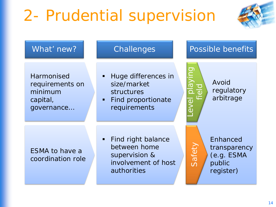# 2- Prudential supervision



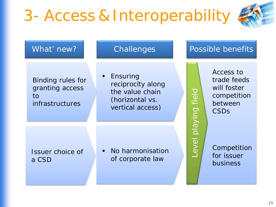# 3- Access & Interoperability



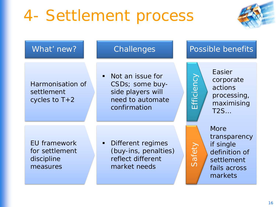# 4- Settlement process



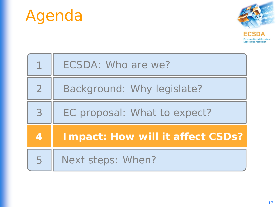



|                | ECSDA: Who are we?                      |
|----------------|-----------------------------------------|
| $\overline{2}$ | Background: Why legislate?              |
| 3              | EC proposal: What to expect?            |
| 4              | <b>Impact: How will it affect CSDs?</b> |
| 5              | Next steps: When?                       |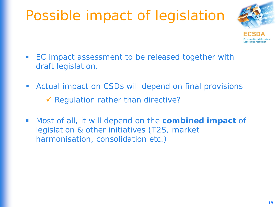#### Possible impact of legislation



- **EC** impact assessment to be released together with draft legislation.
- Actual impact on CSDs will depend on final provisions  $\checkmark$  Regulation rather than directive?
- Most of all, it will depend on the **combined impact** of legislation & other initiatives (T2S, market harmonisation, consolidation etc.)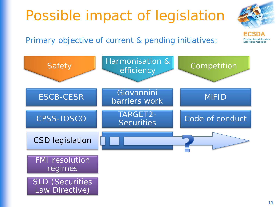



Primary objective of current & pending initiatives:

Law Directive)

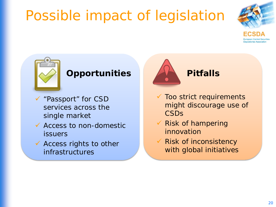## Possible impact of legislation





#### **Opportunities**

- "Passport" for CSD services across the single market
- $\checkmark$  Access to non-domestic issuers
- $\checkmark$  Access rights to other infrastructures



- $\checkmark$  Too strict requirements might discourage use of **CSDs**
- $\checkmark$  Risk of hampering innovation
- Risk of inconsistency with global initiatives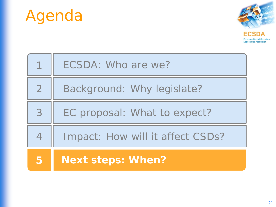



|                | ECSDA: Who are we?               |
|----------------|----------------------------------|
| $\overline{2}$ | Background: Why legislate?       |
| 3              | EC proposal: What to expect?     |
| $\overline{4}$ | Impact: How will it affect CSDs? |
| 5              | <b>Next steps: When?</b>         |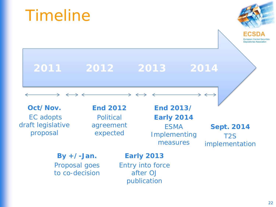# **2011 2012 2013 2014**

**Oct/Nov.** EC adopts draft legislative proposal

Timeline

**End 2012 Political** agreement expected

**End 2013/ Early 2014** ESMA Implementing

measures

**Sept. 2014** T2S implementation

**By +/-Jan.**  Proposal goes to co-decision

#### **Early 2013**

Entry into force after *OJ* publication

epositories Associatio

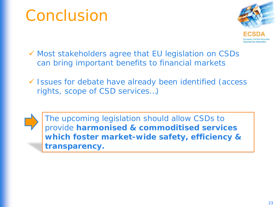## Conclusion



- Most stakeholders agree that EU legislation on CSDs can bring important benefits to financial markets
- Issues for debate have already been identified (access rights, scope of CSD services…)



The upcoming legislation should allow CSDs to provide **harmonised & commoditised services which foster market-wide safety, efficiency & transparency.**